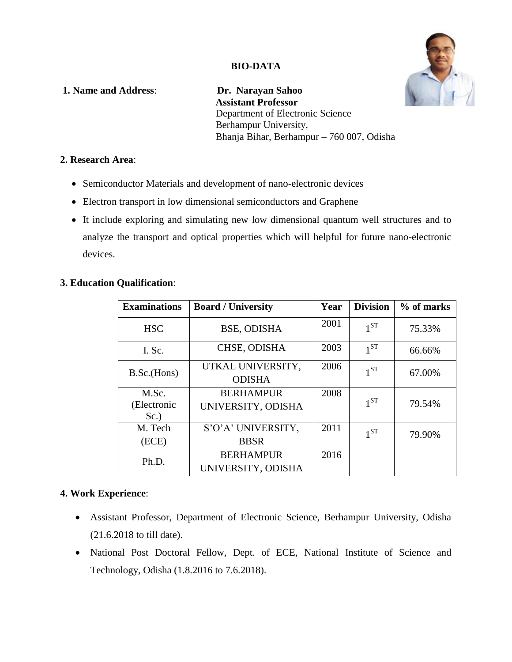

**1. Name and Address**: **Dr. Narayan Sahoo Assistant Professor** Department of Electronic Science Berhampur University, Bhanja Bihar, Berhampur – 760 007, Odisha

## **2. Research Area**:

- Semiconductor Materials and development of nano-electronic devices
- Electron transport in low dimensional semiconductors and Graphene
- It include exploring and simulating new low dimensional quantum well structures and to analyze the transport and optical properties which will helpful for future nano-electronic devices.

# **3. Education Qualification**:

| <b>Examinations</b> | <b>Board / University</b>          | Year | <b>Division</b> | % of marks |
|---------------------|------------------------------------|------|-----------------|------------|
| <b>HSC</b>          | <b>BSE, ODISHA</b>                 | 2001 | $1^{ST}$        | 75.33%     |
| I. Sc.              | CHSE, ODISHA                       | 2003 | $1^{ST}$        | 66.66%     |
| B.Sc.(Hons)         | UTKAL UNIVERSITY,<br><b>ODISHA</b> | 2006 | 1 <sub>ST</sub> | 67.00%     |
| M.Sc.               | <b>BERHAMPUR</b>                   | 2008 |                 |            |
| (Electronic<br>Sc.  | UNIVERSITY, ODISHA                 |      | $1^{ST}$        | 79.54%     |
| M. Tech             | S'O'A' UNIVERSITY,                 | 2011 | 1 <sub>ST</sub> | 79.90%     |
| (ECE)               | <b>BBSR</b>                        |      |                 |            |
| Ph.D.               | <b>BERHAMPUR</b>                   | 2016 |                 |            |
|                     | UNIVERSITY, ODISHA                 |      |                 |            |

## **4. Work Experience**:

- Assistant Professor, Department of Electronic Science, Berhampur University, Odisha (21.6.2018 to till date).
- National Post Doctoral Fellow, Dept. of ECE, National Institute of Science and Technology, Odisha (1.8.2016 to 7.6.2018).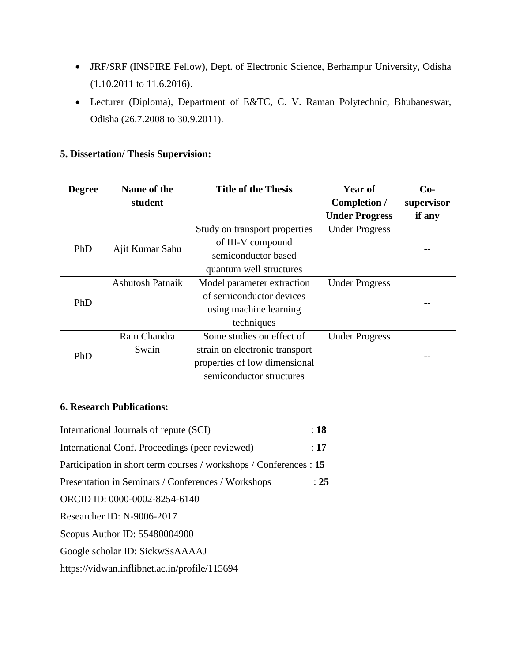- JRF/SRF (INSPIRE Fellow), Dept. of Electronic Science, Berhampur University, Odisha (1.10.2011 to 11.6.2016).
- Lecturer (Diploma), Department of E&TC, C. V. Raman Polytechnic, Bhubaneswar, Odisha (26.7.2008 to 30.9.2011).

# **5. Dissertation/ Thesis Supervision:**

| <b>Degree</b> | Name of the             | <b>Title of the Thesis</b>     | <b>Year of</b>        | $Co-$      |  |
|---------------|-------------------------|--------------------------------|-----------------------|------------|--|
|               | student                 |                                | Completion /          | supervisor |  |
|               |                         |                                | <b>Under Progress</b> | if any     |  |
| PhD           |                         | Study on transport properties  | <b>Under Progress</b> |            |  |
|               | Ajit Kumar Sahu         | of III-V compound              |                       |            |  |
|               |                         | semiconductor based            |                       |            |  |
|               |                         | quantum well structures        |                       |            |  |
| PhD           | <b>Ashutosh Patnaik</b> | Model parameter extraction     | <b>Under Progress</b> |            |  |
|               |                         | of semiconductor devices       |                       |            |  |
|               |                         | using machine learning         |                       |            |  |
|               |                         | techniques                     |                       |            |  |
| PhD           | Ram Chandra             | Some studies on effect of      | <b>Under Progress</b> |            |  |
|               | Swain                   | strain on electronic transport |                       |            |  |
|               |                         | properties of low dimensional  |                       |            |  |
|               |                         | semiconductor structures       |                       |            |  |

## **6. Research Publications:**

| International Journals of repute (SCI)                             | :18  |
|--------------------------------------------------------------------|------|
| International Conf. Proceedings (peer reviewed)                    | :17  |
| Participation in short term courses / workshops / Conferences : 15 |      |
| Presentation in Seminars / Conferences / Workshops                 | : 25 |
| ORCID ID: 0000-0002-8254-6140                                      |      |
| Researcher ID: N-9006-2017                                         |      |
| Scopus Author ID: 55480004900                                      |      |
| Google scholar ID: SickwSsAAAAJ                                    |      |
| https://vidwan.inflibnet.ac.in/profile/115694                      |      |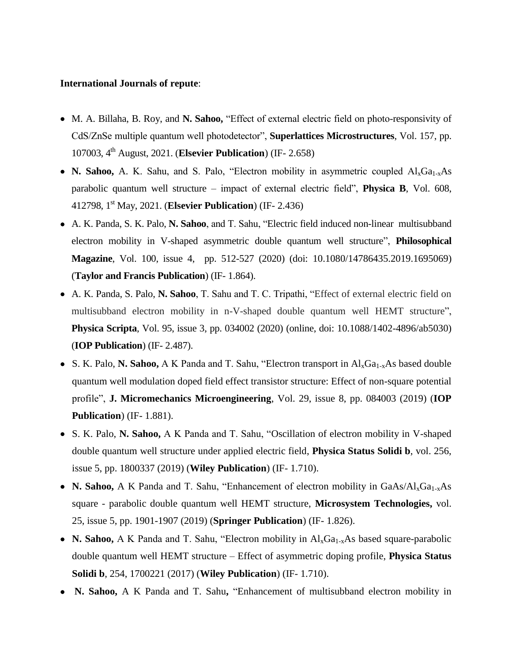#### **International Journals of repute**:

- M. A. Billaha, B. Roy, and **N. Sahoo,** "Effect of external electric field on photo-responsivity of CdS/ZnSe multiple quantum well photodetector", **Superlattices Microstructures**, Vol. 157, pp. 107003, 4th August, 2021. (**Elsevier Publication**) (IF- 2.658)
- **N. Sahoo,** A. K. Sahu, and S. Palo, "Electron mobility in asymmetric coupled  $AI_xGa_{1-x}As$ parabolic quantum well structure – impact of external electric field", **Physica B**, Vol. 608, 412798, 1st May, 2021. (**Elsevier Publication**) (IF- 2.436)
- A. K. Panda, S. K. Palo, **N. Sahoo**, and T. Sahu, "Electric field induced non-linear multisubband electron mobility in V-shaped asymmetric double quantum well structure", **Philosophical Magazine**, Vol. 100, issue 4, pp. 512-527 (2020) (doi: [10.1080/14786435.2019.1695069\)](https://doi.org/10.1080/14786435.2019.1695069) (**Taylor and Francis Publication**) (IF- 1.864).
- A. K. Panda, S. Palo, **N. Sahoo**, T. Sahu and T. C. Tripathi, "Effect of external electric field on multisubband electron mobility in n-V-shaped double quantum well HEMT structure", **Physica Scripta**, Vol. 95, issue 3, pp. 034002 (2020) (online, doi: [10.1088/1402-4896/ab5030\)](https://doi.org/10.1088/1402-4896/ab5030) (**IOP Publication**) (IF- 2.487).
- S. K. Palo, N. Sahoo, A K Panda and T. Sahu, "Electron transport in  $Al_xGa_{1-x}As$  based double quantum well modulation doped field effect transistor structure: Effect of non-square potential profile", **J. Micromechanics Microengineering**, Vol. 29, issue 8, pp. 084003 (2019) (**IOP Publication**) (IF- 1.881).
- S. K. Palo, **N. Sahoo,** A K Panda and T. Sahu, "Oscillation of electron mobility in V-shaped double quantum well structure under applied electric field, **Physica Status Solidi b**, vol. 256, issue 5, pp. 1800337 (2019) (**Wiley Publication**) (IF- 1.710).
- **N. Sahoo,** A K Panda and T. Sahu, "Enhancement of electron mobility in GaAs/Al<sub>x</sub>Ga<sub>1-x</sub>As square - parabolic double quantum well HEMT structure, **Microsystem Technologies,** vol. 25, issue 5, pp. 1901-1907 (2019) (**Springer Publication**) (IF- 1.826).
- **N. Sahoo,** A K Panda and T. Sahu, "Electron mobility in Al<sub>x</sub>Ga<sub>1-x</sub>As based square-parabolic double quantum well HEMT structure – Effect of asymmetric doping profile, **Physica Status Solidi b**, 254, 1700221 (2017) (**Wiley Publication**) (IF- 1.710).
- **N. Sahoo,** A K Panda and T. Sahu**,** "Enhancement of multisubband electron mobility in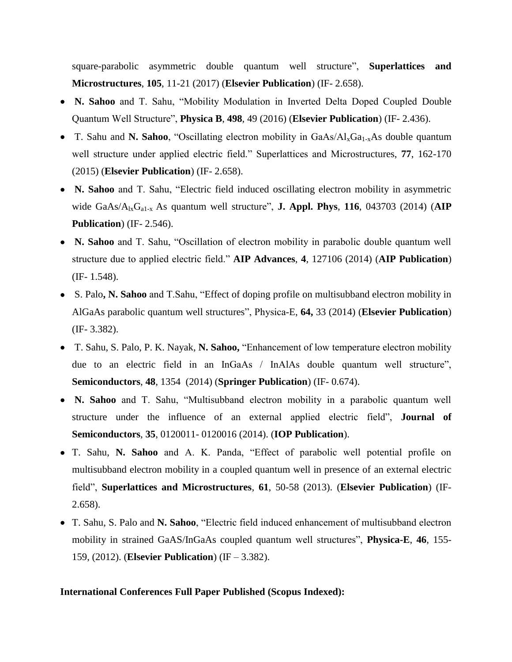square-parabolic asymmetric double quantum well structure", **Superlattices and Microstructures**, **105**, 11-21 (2017) (**Elsevier Publication**) (IF- 2.658).

- **N. Sahoo** and T. Sahu, "Mobility Modulation in Inverted Delta Doped Coupled Double Quantum Well Structure", **Physica B**, **498**, 49 (2016) (**Elsevier Publication**) (IF- 2.436).
- T. Sahu and **N. Sahoo**, "Oscillating electron mobility in GaAs/Al<sub>x</sub>Ga<sub>1-x</sub>As double quantum well structure under applied electric field." Superlattices and Microstructures, **77**, 162-170 (2015) (**Elsevier Publication**) (IF- 2.658).
- **N. Sahoo** and T. Sahu, "Electric field induced oscillating electron mobility in asymmetric wide GaAs/A<sub>lx</sub>G<sub>a1-x</sub> As quantum well structure", **J. Appl. Phys**, **116**, 043703 (2014) (AIP **Publication**) (IF- 2.546).
- **N. Sahoo** and T. Sahu, "Oscillation of electron mobility in parabolic double quantum well structure due to applied electric field." **AIP Advances**, **4**, 127106 (2014) (**AIP Publication**) (IF- 1.548).
- S. Palo**, N. Sahoo** and T.Sahu, "Effect of doping profile on multisubband electron mobility in AlGaAs parabolic quantum well structures", Physica-E, **64,** 33 (2014) (**Elsevier Publication**) (IF- 3.382).
- T. Sahu, S. Palo, P. K. Nayak, **N. Sahoo,** "Enhancement of low temperature electron mobility due to an electric field in an InGaAs / InAlAs double quantum well structure", **Semiconductors**, **48**, 1354 (2014) (**Springer Publication**) (IF- 0.674).
- **N. Sahoo** and T. Sahu, "Multisubband electron mobility in a parabolic quantum well structure under the influence of an external applied electric field", **Journal of Semiconductors**, **35**, 0120011- 0120016 (2014). (**IOP Publication**).
- T. Sahu, **N. Sahoo** and A. K. Panda, "Effect of parabolic well potential profile on multisubband electron mobility in a coupled quantum well in presence of an external electric field", **Superlattices and Microstructures**, **61**, 50-58 (2013). (**Elsevier Publication**) (IF-2.658).
- T. Sahu, S. Palo and **N. Sahoo**, "Electric field induced enhancement of multisubband electron mobility in strained GaAS/InGaAs coupled quantum well structures", **Physica-E**, **46**, 155- 159, (2012). (**Elsevier Publication**) (IF – 3.382).

#### **International Conferences Full Paper Published (Scopus Indexed):**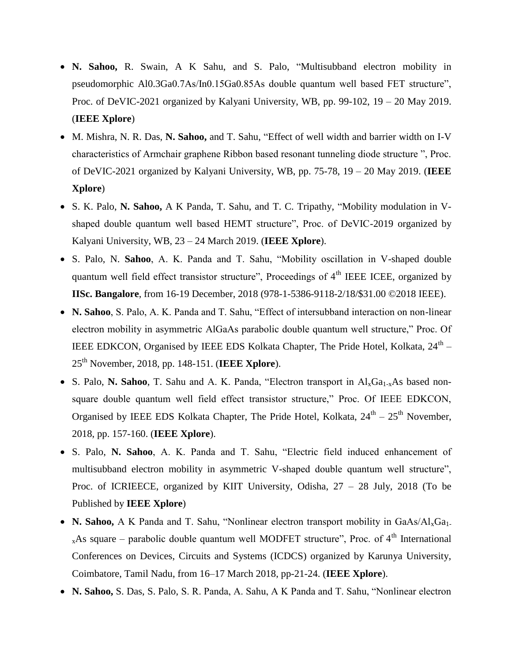- **N. Sahoo,** R. Swain, A K Sahu, and S. Palo, "Multisubband electron mobility in pseudomorphic Al0.3Ga0.7As/In0.15Ga0.85As double quantum well based FET structure", Proc. of DeVIC-2021 organized by Kalyani University, WB, pp. 99-102, 19 – 20 May 2019. (**IEEE Xplore**)
- M. Mishra, N. R. Das, **N. Sahoo,** and T. Sahu, "Effect of well width and barrier width on I-V characteristics of Armchair graphene Ribbon based resonant tunneling diode structure ", Proc. of DeVIC-2021 organized by Kalyani University, WB, pp. 75-78, 19 – 20 May 2019. (**IEEE Xplore**)
- S. K. Palo, **N. Sahoo,** A K Panda, T. Sahu, and T. C. Tripathy, "Mobility modulation in Vshaped double quantum well based HEMT structure", Proc. of DeVIC-2019 organized by Kalyani University, WB, 23 – 24 March 2019. (**IEEE Xplore**).
- S. Palo, N. **Sahoo**, A. K. Panda and T. Sahu, "Mobility oscillation in V-shaped double quantum well field effect transistor structure", Proceedings of 4<sup>th</sup> IEEE ICEE, organized by **IISc. Bangalore**, from 16-19 December, 2018 (978-1-5386-9118-2/18/\$31.00 ©2018 IEEE).
- **N. Sahoo**, S. Palo, A. K. Panda and T. Sahu, "Effect of intersubband interaction on non-linear electron mobility in asymmetric AlGaAs parabolic double quantum well structure," Proc. Of IEEE EDKCON, Organised by IEEE EDS Kolkata Chapter, The Pride Hotel, Kolkata,  $24^{\text{th}}$  -25th November, 2018, pp. 148-151. (**IEEE Xplore**).
- S. Palo, N. Sahoo, T. Sahu and A. K. Panda, "Electron transport in  $Al_xGa_{1-x}As$  based nonsquare double quantum well field effect transistor structure," Proc. Of IEEE EDKCON, Organised by IEEE EDS Kolkata Chapter, The Pride Hotel, Kolkata,  $24<sup>th</sup> - 25<sup>th</sup>$  November, 2018, pp. 157-160. (**IEEE Xplore**).
- S. Palo, **N. Sahoo**, A. K. Panda and T. Sahu, "Electric field induced enhancement of multisubband electron mobility in asymmetric V-shaped double quantum well structure", Proc. of ICRIEECE, organized by KIIT University, Odisha, 27 – 28 July, 2018 (To be Published by **IEEE Xplore**)
- **N. Sahoo,** A K Panda and T. Sahu, "Nonlinear electron transport mobility in GaAs/Al<sub>x</sub>Ga<sub>1-</sub>  $_{x}$ As square – parabolic double quantum well MODFET structure", Proc. of 4<sup>th</sup> International Conferences on Devices, Circuits and Systems (ICDCS) organized by Karunya University, Coimbatore, Tamil Nadu, from 16–17 March 2018, pp-21-24. (**IEEE Xplore**).
- **N. Sahoo,** S. Das, S. Palo, S. R. Panda, A. Sahu, A K Panda and T. Sahu, "Nonlinear electron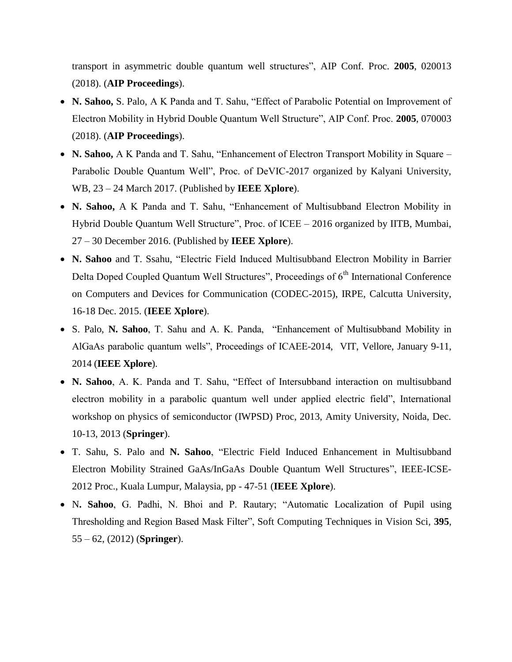transport in asymmetric double quantum well structures", AIP Conf. Proc. **2005**, 020013 (2018). (**AIP Proceedings**).

- **N. Sahoo,** S. Palo, A K Panda and T. Sahu, "Effect of Parabolic Potential on Improvement of Electron Mobility in Hybrid Double Quantum Well Structure", AIP Conf. Proc. **2005**, 070003 (2018). (**AIP Proceedings**).
- **N. Sahoo,** A K Panda and T. Sahu, "Enhancement of Electron Transport Mobility in Square Parabolic Double Quantum Well", Proc. of DeVIC-2017 organized by Kalyani University, WB, 23 – 24 March 2017. (Published by **IEEE Xplore**).
- **N. Sahoo,** A K Panda and T. Sahu, "Enhancement of Multisubband Electron Mobility in Hybrid Double Quantum Well Structure", Proc. of ICEE – 2016 organized by IITB, Mumbai, 27 – 30 December 2016. (Published by **IEEE Xplore**).
- **N. Sahoo** and T. Ssahu, "Electric Field Induced Multisubband Electron Mobility in Barrier Delta Doped Coupled Quantum Well Structures", Proceedings of 6<sup>th</sup> International Conference on Computers and Devices for Communication (CODEC-2015), IRPE, Calcutta University, 16-18 Dec. 2015. (**IEEE Xplore**).
- S. Palo, **N. Sahoo**, T. Sahu and A. K. Panda, "Enhancement of Multisubband Mobility in AlGaAs parabolic quantum wells", Proceedings of ICAEE-2014, VIT, Vellore, January 9-11, 2014 (**IEEE Xplore**).
- **N. Sahoo**, A. K. Panda and T. Sahu, "Effect of Intersubband interaction on multisubband electron mobility in a parabolic quantum well under applied electric field", International workshop on physics of semiconductor (IWPSD) Proc, 2013, Amity University, Noida, Dec. 10-13, 2013 (**Springer**).
- T. Sahu, S. Palo and **N. Sahoo**, "Electric Field Induced Enhancement in Multisubband Electron Mobility Strained GaAs/InGaAs Double Quantum Well Structures", IEEE-ICSE-2012 Proc., Kuala Lumpur, Malaysia, pp - 47-51 (**IEEE Xplore**).
- N**. Sahoo**, G. Padhi, N. Bhoi and P. Rautary; "Automatic Localization of Pupil using Thresholding and Region Based Mask Filter", Soft Computing Techniques in Vision Sci, **395**, 55 – 62, (2012) (**Springer**).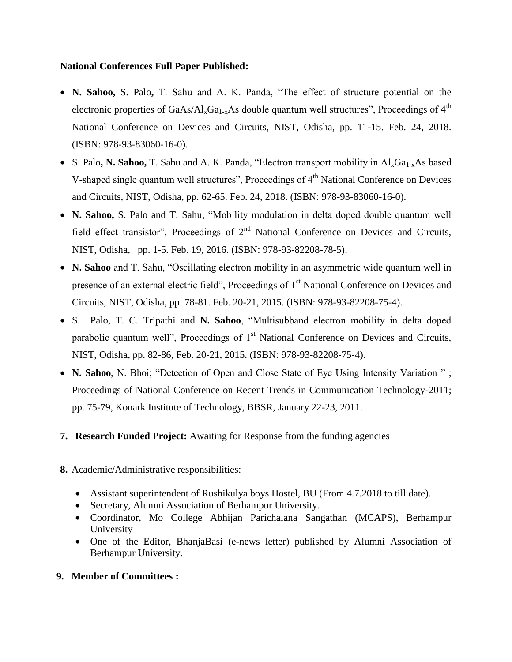## **National Conferences Full Paper Published:**

- **N. Sahoo,** S. Palo**,** T. Sahu and A. K. Panda, "The effect of structure potential on the electronic properties of  $GaAs/Al_xGa_{1-x}As$  double quantum well structures", Proceedings of 4<sup>th</sup> National Conference on Devices and Circuits, NIST, Odisha, pp. 11-15. Feb. 24, 2018. (ISBN: 978-93-83060-16-0).
- S. Palo, N. Sahoo, T. Sahu and A. K. Panda, "Electron transport mobility in Al<sub>x</sub>Ga<sub>1-x</sub>As based V-shaped single quantum well structures", Proceedings of 4<sup>th</sup> National Conference on Devices and Circuits, NIST, Odisha, pp. 62-65. Feb. 24, 2018. (ISBN: 978-93-83060-16-0).
- **N. Sahoo,** S. Palo and T. Sahu, "Mobility modulation in delta doped double quantum well field effect transistor", Proceedings of 2<sup>nd</sup> National Conference on Devices and Circuits, NIST, Odisha, pp. 1-5. Feb. 19, 2016. (ISBN: 978-93-82208-78-5).
- **N. Sahoo** and T. Sahu, "Oscillating electron mobility in an asymmetric wide quantum well in presence of an external electric field", Proceedings of 1<sup>st</sup> National Conference on Devices and Circuits, NIST, Odisha, pp. 78-81. Feb. 20-21, 2015. (ISBN: 978-93-82208-75-4).
- S. Palo, T. C. Tripathi and **N. Sahoo**, "Multisubband electron mobility in delta doped parabolic quantum well", Proceedings of  $1<sup>st</sup>$  National Conference on Devices and Circuits, NIST, Odisha, pp. 82-86, Feb. 20-21, 2015. (ISBN: 978-93-82208-75-4).
- N. Sahoo, N. Bhoi; "Detection of Open and Close State of Eye Using Intensity Variation "; Proceedings of National Conference on Recent Trends in Communication Technology-2011; pp. 75-79, Konark Institute of Technology, BBSR, January 22-23, 2011.
- **7. Research Funded Project:** Awaiting for Response from the funding agencies
- **8.** Academic/Administrative responsibilities:
	- Assistant superintendent of Rushikulya boys Hostel, BU (From 4.7.2018 to till date).
	- Secretary, Alumni Association of Berhampur University.
	- Coordinator, Mo College Abhijan Parichalana Sangathan (MCAPS), Berhampur University
	- One of the Editor, BhanjaBasi (e-news letter) published by Alumni Association of Berhampur University.
- **9. Member of Committees :**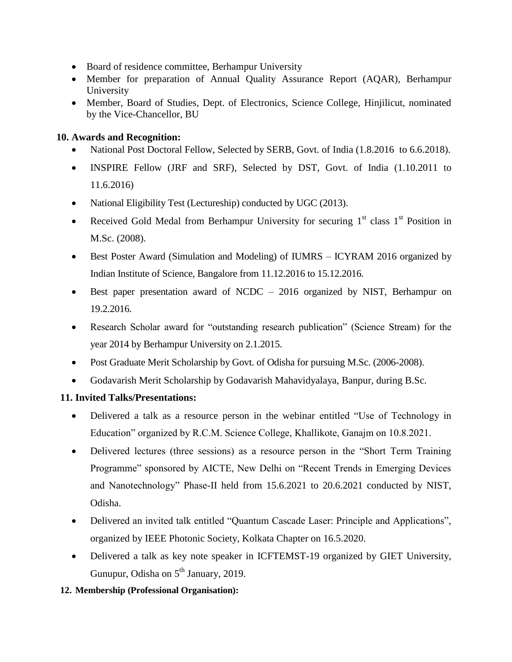- Board of residence committee, Berhampur University
- Member for preparation of Annual Quality Assurance Report (AQAR), Berhampur University
- Member, Board of Studies, Dept. of Electronics, Science College, Hinjilicut, nominated by the Vice-Chancellor, BU

# **10. Awards and Recognition:**

- National Post Doctoral Fellow, Selected by SERB, Govt. of India (1.8.2016 to 6.6.2018).
- INSPIRE Fellow (JRF and SRF), Selected by DST, Govt. of India (1.10.2011 to 11.6.2016)
- National Eligibility Test (Lectureship) conducted by UGC (2013).
- Received Gold Medal from Berhampur University for securing  $1<sup>st</sup>$  class  $1<sup>st</sup>$  Position in M.Sc. (2008).
- Best Poster Award (Simulation and Modeling) of IUMRS ICYRAM 2016 organized by Indian Institute of Science, Bangalore from 11.12.2016 to 15.12.2016.
- Best paper presentation award of NCDC 2016 organized by NIST, Berhampur on 19.2.2016.
- Research Scholar award for "outstanding research publication" (Science Stream) for the year 2014 by Berhampur University on 2.1.2015.
- Post Graduate Merit Scholarship by Govt. of Odisha for pursuing M.Sc. (2006-2008).
- Godavarish Merit Scholarship by Godavarish Mahavidyalaya, Banpur, during B.Sc.

# **11. Invited Talks/Presentations:**

- Delivered a talk as a resource person in the webinar entitled "Use of Technology in Education" organized by R.C.M. Science College, Khallikote, Ganajm on 10.8.2021.
- Delivered lectures (three sessions) as a resource person in the "Short Term Training Programme" sponsored by AICTE, New Delhi on "Recent Trends in Emerging Devices and Nanotechnology" Phase-II held from 15.6.2021 to 20.6.2021 conducted by NIST, Odisha.
- Delivered an invited talk entitled "Quantum Cascade Laser: Principle and Applications", organized by IEEE Photonic Society, Kolkata Chapter on 16.5.2020.
- Delivered a talk as key note speaker in ICFTEMST-19 organized by GIET University, Gunupur, Odisha on 5<sup>th</sup> January, 2019.

# **12. Membership (Professional Organisation):**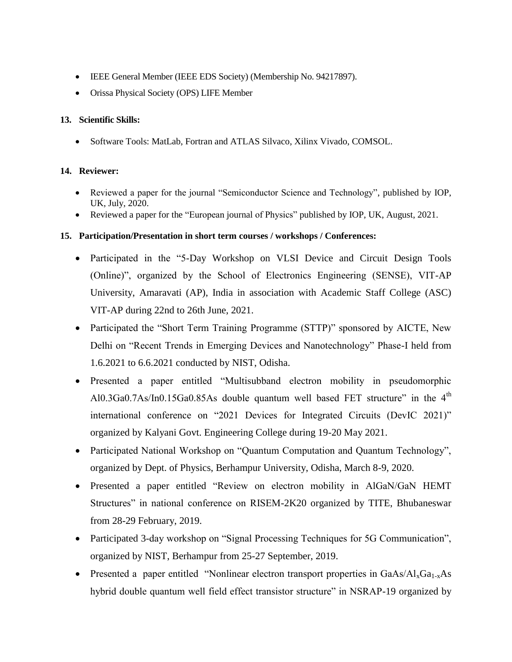- IEEE General Member (IEEE EDS Society) (Membership No. 94217897).
- Orissa Physical Society (OPS) LIFE Member

### **13. Scientific Skills:**

Software Tools: MatLab, Fortran and ATLAS Silvaco, Xilinx Vivado, COMSOL.

### **14. Reviewer:**

- Reviewed a paper for the journal "Semiconductor Science and Technology", published by IOP, UK, July, 2020.
- Reviewed a paper for the "European journal of Physics" published by IOP, UK, August, 2021.

## **15. Participation/Presentation in short term courses / workshops / Conferences:**

- Participated in the "5-Day Workshop on VLSI Device and Circuit Design Tools (Online)", organized by the School of Electronics Engineering (SENSE), VIT-AP University, Amaravati (AP), India in association with Academic Staff College (ASC) VIT-AP during 22nd to 26th June, 2021.
- Participated the "Short Term Training Programme (STTP)" sponsored by AICTE, New Delhi on "Recent Trends in Emerging Devices and Nanotechnology" Phase-I held from 1.6.2021 to 6.6.2021 conducted by NIST, Odisha.
- Presented a paper entitled "Multisubband electron mobility in pseudomorphic Al0.3Ga0.7As/In0.15Ga0.85As double quantum well based FET structure" in the  $4<sup>th</sup>$ international conference on "2021 Devices for Integrated Circuits (DevIC 2021)" organized by Kalyani Govt. Engineering College during 19-20 May 2021.
- Participated National Workshop on "Quantum Computation and Quantum Technology", organized by Dept. of Physics, Berhampur University, Odisha, March 8-9, 2020.
- Presented a paper entitled "Review on electron mobility in AlGaN/GaN HEMT Structures" in national conference on RISEM-2K20 organized by TITE, Bhubaneswar from 28-29 February, 2019.
- Participated 3-day workshop on "Signal Processing Techniques for 5G Communication", organized by NIST, Berhampur from 25-27 September, 2019.
- Presented a paper entitled "Nonlinear electron transport properties in  $GaAs/Al_xGa_{1-x}As$ hybrid double quantum well field effect transistor structure" in NSRAP-19 organized by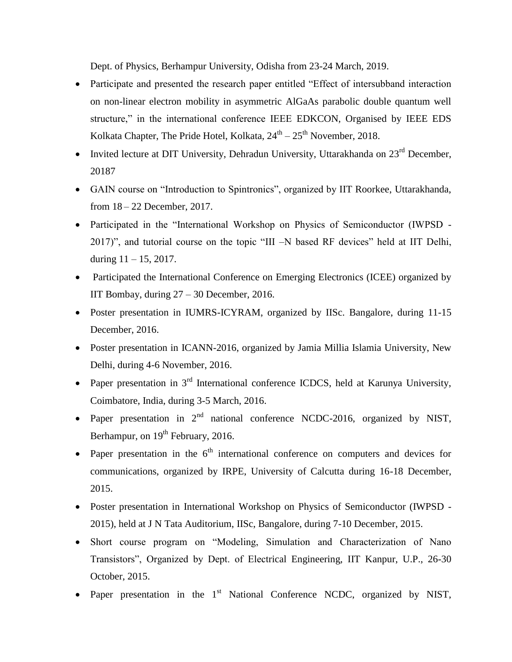Dept. of Physics, Berhampur University, Odisha from 23-24 March, 2019.

- Participate and presented the research paper entitled "Effect of intersubband interaction on non-linear electron mobility in asymmetric AlGaAs parabolic double quantum well structure," in the international conference IEEE EDKCON, Organised by IEEE EDS Kolkata Chapter, The Pride Hotel, Kolkata,  $24^{\text{th}} - 25^{\text{th}}$  November, 2018.
- Invited lecture at DIT University, Dehradun University, Uttarakhanda on  $23<sup>rd</sup>$  December, 20187
- GAIN course on "Introduction to Spintronics", organized by IIT Roorkee, Uttarakhanda, from 18 – 22 December, 2017.
- Participated in the "International Workshop on Physics of Semiconductor (IWPSD 2017)", and tutorial course on the topic "III –N based RF devices" held at IIT Delhi, during  $11 - 15$ , 2017.
- Participated the International Conference on Emerging Electronics (ICEE) organized by IIT Bombay, during 27 – 30 December, 2016.
- Poster presentation in IUMRS-ICYRAM, organized by IISc. Bangalore, during 11-15 December, 2016.
- Poster presentation in ICANN-2016, organized by Jamia Millia Islamia University, New Delhi, during 4-6 November, 2016.
- Paper presentation in  $3<sup>rd</sup>$  International conference ICDCS, held at Karunya University, Coimbatore, India, during 3-5 March, 2016.
- Paper presentation in  $2<sup>nd</sup>$  national conference NCDC-2016, organized by NIST, Berhampur, on 19<sup>th</sup> February, 2016.
- Paper presentation in the  $6<sup>th</sup>$  international conference on computers and devices for communications, organized by IRPE, University of Calcutta during 16-18 December, 2015.
- Poster presentation in International Workshop on Physics of Semiconductor (IWPSD 2015), held at J N Tata Auditorium, IISc, Bangalore, during 7-10 December, 2015.
- Short course program on "Modeling, Simulation and Characterization of Nano Transistors", Organized by Dept. of Electrical Engineering, IIT Kanpur, U.P., 26-30 October, 2015.
- Paper presentation in the  $1<sup>st</sup>$  National Conference NCDC, organized by NIST,